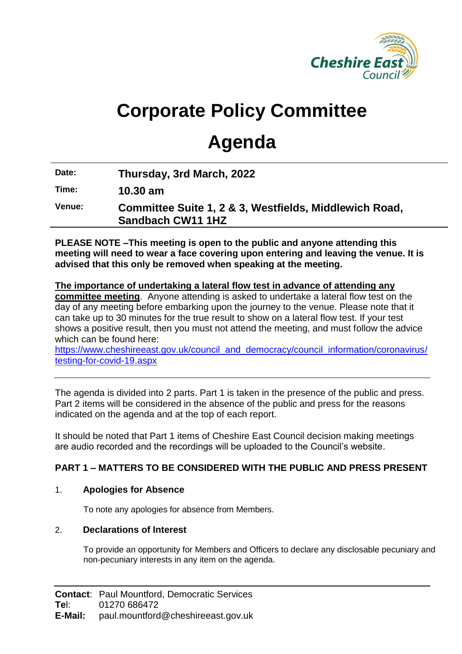

# **Corporate Policy Committee**

## **Agenda**

**Date: Thursday, 3rd March, 2022**

**Time: 10.30 am**

**Venue: Committee Suite 1, 2 & 3, Westfields, Middlewich Road, Sandbach CW11 1HZ**

**PLEASE NOTE –This meeting is open to the public and anyone attending this meeting will need to wear a face covering upon entering and leaving the venue. It is advised that this only be removed when speaking at the meeting.**

#### **The importance of undertaking a lateral flow test in advance of attending any committee meeting**. Anyone attending is asked to undertake a lateral flow test on the day of any meeting before embarking upon the journey to the venue. Please note that it can take up to 30 minutes for the true result to show on a lateral flow test. If your test shows a positive result, then you must not attend the meeting, and must follow the advice which can be found here:

[https://www.cheshireeast.gov.uk/council\\_and\\_democracy/council\\_information/coronavirus/](https://www.cheshireeast.gov.uk/council_and_democracy/council_information/coronavirus/testing-for-covid-19.aspx) [testing-for-covid-19.aspx](https://www.cheshireeast.gov.uk/council_and_democracy/council_information/coronavirus/testing-for-covid-19.aspx)

The agenda is divided into 2 parts. Part 1 is taken in the presence of the public and press. Part 2 items will be considered in the absence of the public and press for the reasons indicated on the agenda and at the top of each report.

It should be noted that Part 1 items of Cheshire East Council decision making meetings are audio recorded and the recordings will be uploaded to the Council's website.

## **PART 1 – MATTERS TO BE CONSIDERED WITH THE PUBLIC AND PRESS PRESENT**

## 1. **Apologies for Absence**

To note any apologies for absence from Members.

## 2. **Declarations of Interest**

To provide an opportunity for Members and Officers to declare any disclosable pecuniary and non-pecuniary interests in any item on the agenda.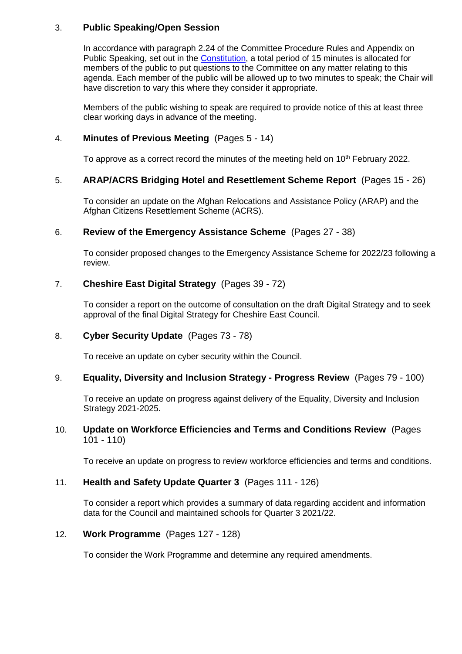#### 3. **Public Speaking/Open Session**

In accordance with paragraph 2.24 of the Committee Procedure Rules and Appendix on Public Speaking, set out in the [Constitution,](https://www.cheshireeast.gov.uk/council_and_democracy/your_council/constitution.aspx) a total period of 15 minutes is allocated for members of the public to put questions to the Committee on any matter relating to this agenda. Each member of the public will be allowed up to two minutes to speak; the Chair will have discretion to vary this where they consider it appropriate.

Members of the public wishing to speak are required to provide notice of this at least three clear working days in advance of the meeting.

#### 4. **Minutes of Previous Meeting** (Pages 5 - 14)

To approve as a correct record the minutes of the meeting held on  $10<sup>th</sup>$  February 2022.

#### 5. **ARAP/ACRS Bridging Hotel and Resettlement Scheme Report** (Pages 15 - 26)

To consider an update on the Afghan Relocations and Assistance Policy (ARAP) and the Afghan Citizens Resettlement Scheme (ACRS).

#### 6. **Review of the Emergency Assistance Scheme** (Pages 27 - 38)

To consider proposed changes to the Emergency Assistance Scheme for 2022/23 following a review.

#### 7. **Cheshire East Digital Strategy** (Pages 39 - 72)

To consider a report on the outcome of consultation on the draft Digital Strategy and to seek approval of the final Digital Strategy for Cheshire East Council.

#### 8. **Cyber Security Update** (Pages 73 - 78)

To receive an update on cyber security within the Council.

#### 9. **Equality, Diversity and Inclusion Strategy - Progress Review** (Pages 79 - 100)

To receive an update on progress against delivery of the Equality, Diversity and Inclusion Strategy 2021-2025.

#### 10. **Update on Workforce Efficiencies and Terms and Conditions Review** (Pages  $101 - 110$

To receive an update on progress to review workforce efficiencies and terms and conditions.

#### 11. **Health and Safety Update Quarter 3** (Pages 111 - 126)

To consider a report which provides a summary of data regarding accident and information data for the Council and maintained schools for Quarter 3 2021/22.

#### 12. **Work Programme** (Pages 127 - 128)

To consider the Work Programme and determine any required amendments.